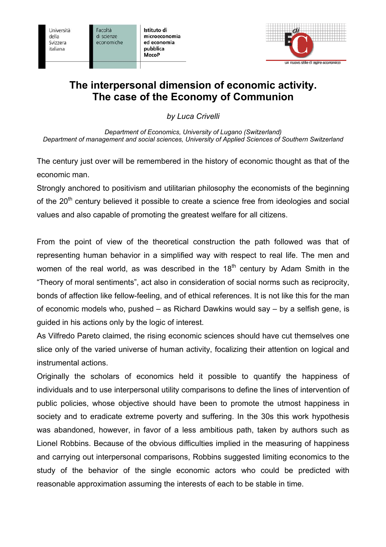Università della Svizzera italiana

Facoltà di scienze economiche

Istituto di microeconomia ed economia pubblica **MecoP** 



## **The interpersonal dimension of economic activity. The case of the Economy of Communion**

*by Luca Crivelli* 

*Department of Economics, University of Lugano (Switzerland) Department of management and social sciences, University of Applied Sciences of Southern Switzerland* 

The century just over will be remembered in the history of economic thought as that of the economic man.

Strongly anchored to positivism and utilitarian philosophy the economists of the beginning of the  $20<sup>th</sup>$  century believed it possible to create a science free from ideologies and social values and also capable of promoting the greatest welfare for all citizens.

From the point of view of the theoretical construction the path followed was that of representing human behavior in a simplified way with respect to real life. The men and women of the real world, as was described in the  $18<sup>th</sup>$  century by Adam Smith in the "Theory of moral sentiments", act also in consideration of social norms such as reciprocity, bonds of affection like fellow-feeling, and of ethical references. It is not like this for the man of economic models who, pushed – as Richard Dawkins would say – by a selfish gene, is guided in his actions only by the logic of interest.

As Vilfredo Pareto claimed, the rising economic sciences should have cut themselves one slice only of the varied universe of human activity, focalizing their attention on logical and instrumental actions.

Originally the scholars of economics held it possible to quantify the happiness of individuals and to use interpersonal utility comparisons to define the lines of intervention of public policies, whose objective should have been to promote the utmost happiness in society and to eradicate extreme poverty and suffering. In the 30s this work hypothesis was abandoned, however, in favor of a less ambitious path, taken by authors such as Lionel Robbins. Because of the obvious difficulties implied in the measuring of happiness and carrying out interpersonal comparisons, Robbins suggested limiting economics to the study of the behavior of the single economic actors who could be predicted with reasonable approximation assuming the interests of each to be stable in time.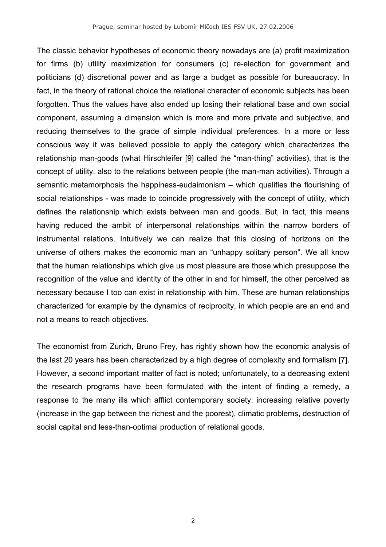The classic behavior hypotheses of economic theory nowadays are (a) profit maximization for firms (b) utility maximization for consumers (c) re-election for government and politicians (d) discretional power and as large a budget as possible for bureaucracy. In fact, in the theory of rational choice the relational character of economic subjects has been forgotten. Thus the values have also ended up losing their relational base and own social component, assuming a dimension which is more and more private and subjective, and reducing themselves to the grade of simple individual preferences. In a more or less conscious way it was believed possible to apply the category which characterizes the relationship man-goods (what Hirschleifer [9] called the "man-thing" activities), that is the concept of utility, also to the relations between people (the man-man activities). Through a semantic metamorphosis the happiness-eudaimonism – which qualifies the flourishing of social relationships - was made to coincide progressively with the concept of utility, which defines the relationship which exists between man and goods. But, in fact, this means having reduced the ambit of interpersonal relationships within the narrow borders of instrumental relations. Intuitively we can realize that this closing of horizons on the universe of others makes the economic man an "unhappy solitary person". We all know that the human relationships which give us most pleasure are those which presuppose the recognition of the value and identity of the other in and for himself, the other perceived as necessary because I too can exist in relationship with him. These are human relationships characterized for example by the dynamics of reciprocity, in which people are an end and not a means to reach objectives.

The economist from Zurich, Bruno Frey, has rightly shown how the economic analysis of the last 20 years has been characterized by a high degree of complexity and formalism [7]. However, a second important matter of fact is noted; unfortunately, to a decreasing extent the research programs have been formulated with the intent of finding a remedy, a response to the many ills which afflict contemporary society: increasing relative poverty (increase in the gap between the richest and the poorest), climatic problems, destruction of social capital and less-than-optimal production of relational goods.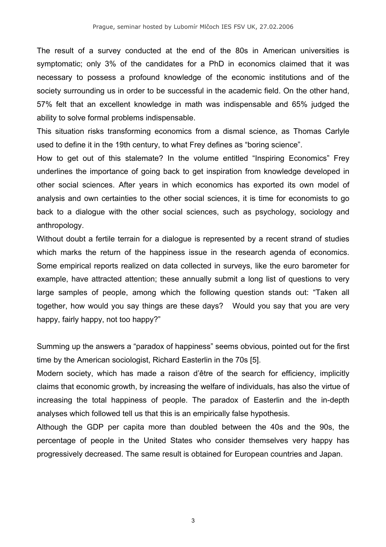The result of a survey conducted at the end of the 80s in American universities is symptomatic; only 3% of the candidates for a PhD in economics claimed that it was necessary to possess a profound knowledge of the economic institutions and of the society surrounding us in order to be successful in the academic field. On the other hand, 57% felt that an excellent knowledge in math was indispensable and 65% judged the ability to solve formal problems indispensable.

This situation risks transforming economics from a dismal science, as Thomas Carlyle used to define it in the 19th century, to what Frey defines as "boring science".

How to get out of this stalemate? In the volume entitled "Inspiring Economics" Frey underlines the importance of going back to get inspiration from knowledge developed in other social sciences. After years in which economics has exported its own model of analysis and own certainties to the other social sciences, it is time for economists to go back to a dialogue with the other social sciences, such as psychology, sociology and anthropology.

Without doubt a fertile terrain for a dialogue is represented by a recent strand of studies which marks the return of the happiness issue in the research agenda of economics. Some empirical reports realized on data collected in surveys, like the euro barometer for example, have attracted attention; these annually submit a long list of questions to very large samples of people, among which the following question stands out: "Taken all together, how would you say things are these days? Would you say that you are very happy, fairly happy, not too happy?"

Summing up the answers a "paradox of happiness" seems obvious, pointed out for the first time by the American sociologist, Richard Easterlin in the 70s [5].

Modern society, which has made a raison d'être of the search for efficiency, implicitly claims that economic growth, by increasing the welfare of individuals, has also the virtue of increasing the total happiness of people. The paradox of Easterlin and the in-depth analyses which followed tell us that this is an empirically false hypothesis.

Although the GDP per capita more than doubled between the 40s and the 90s, the percentage of people in the United States who consider themselves very happy has progressively decreased. The same result is obtained for European countries and Japan.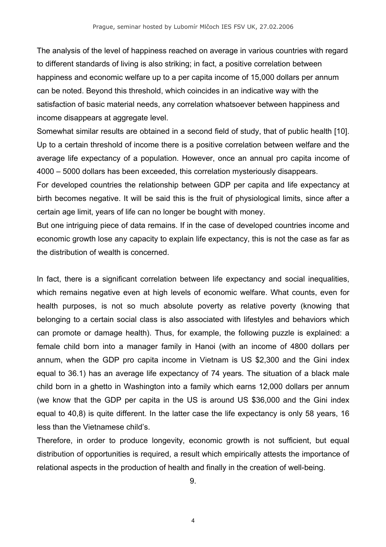The analysis of the level of happiness reached on average in various countries with regard to different standards of living is also striking; in fact, a positive correlation between happiness and economic welfare up to a per capita income of 15,000 dollars per annum can be noted. Beyond this threshold, which coincides in an indicative way with the satisfaction of basic material needs, any correlation whatsoever between happiness and income disappears at aggregate level.

Somewhat similar results are obtained in a second field of study, that of public health [10]. Up to a certain threshold of income there is a positive correlation between welfare and the average life expectancy of a population. However, once an annual pro capita income of 4000 – 5000 dollars has been exceeded, this correlation mysteriously disappears.

For developed countries the relationship between GDP per capita and life expectancy at birth becomes negative. It will be said this is the fruit of physiological limits, since after a certain age limit, years of life can no longer be bought with money.

But one intriguing piece of data remains. If in the case of developed countries income and economic growth lose any capacity to explain life expectancy, this is not the case as far as the distribution of wealth is concerned.

In fact, there is a significant correlation between life expectancy and social inequalities, which remains negative even at high levels of economic welfare. What counts, even for health purposes, is not so much absolute poverty as relative poverty (knowing that belonging to a certain social class is also associated with lifestyles and behaviors which can promote or damage health). Thus, for example, the following puzzle is explained: a female child born into a manager family in Hanoi (with an income of 4800 dollars per annum, when the GDP pro capita income in Vietnam is US \$2,300 and the Gini index equal to 36.1) has an average life expectancy of 74 years. The situation of a black male child born in a ghetto in Washington into a family which earns 12,000 dollars per annum (we know that the GDP per capita in the US is around US \$36,000 and the Gini index equal to 40,8) is quite different. In the latter case the life expectancy is only 58 years, 16 less than the Vietnamese child's.

Therefore, in order to produce longevity, economic growth is not sufficient, but equal distribution of opportunities is required, a result which empirically attests the importance of relational aspects in the production of health and finally in the creation of well-being.

9.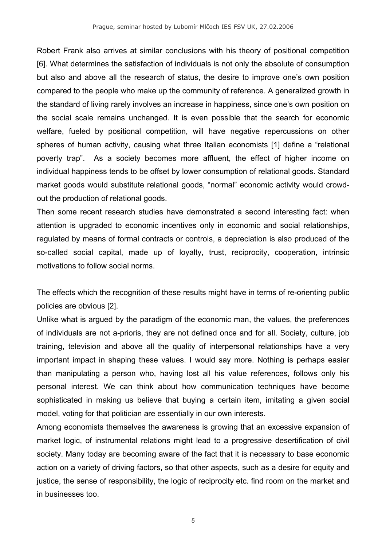Robert Frank also arrives at similar conclusions with his theory of positional competition [6]. What determines the satisfaction of individuals is not only the absolute of consumption but also and above all the research of status, the desire to improve one's own position compared to the people who make up the community of reference. A generalized growth in the standard of living rarely involves an increase in happiness, since one's own position on the social scale remains unchanged. It is even possible that the search for economic welfare, fueled by positional competition, will have negative repercussions on other spheres of human activity, causing what three Italian economists [1] define a "relational poverty trap". As a society becomes more affluent, the effect of higher income on individual happiness tends to be offset by lower consumption of relational goods. Standard market goods would substitute relational goods, "normal" economic activity would crowdout the production of relational goods.

Then some recent research studies have demonstrated a second interesting fact: when attention is upgraded to economic incentives only in economic and social relationships, regulated by means of formal contracts or controls, a depreciation is also produced of the so-called social capital, made up of loyalty, trust, reciprocity, cooperation, intrinsic motivations to follow social norms.

The effects which the recognition of these results might have in terms of re-orienting public policies are obvious [2].

Unlike what is argued by the paradigm of the economic man, the values, the preferences of individuals are not a-prioris, they are not defined once and for all. Society, culture, job training, television and above all the quality of interpersonal relationships have a very important impact in shaping these values. I would say more. Nothing is perhaps easier than manipulating a person who, having lost all his value references, follows only his personal interest. We can think about how communication techniques have become sophisticated in making us believe that buying a certain item, imitating a given social model, voting for that politician are essentially in our own interests.

Among economists themselves the awareness is growing that an excessive expansion of market logic, of instrumental relations might lead to a progressive desertification of civil society. Many today are becoming aware of the fact that it is necessary to base economic action on a variety of driving factors, so that other aspects, such as a desire for equity and justice, the sense of responsibility, the logic of reciprocity etc. find room on the market and in businesses too.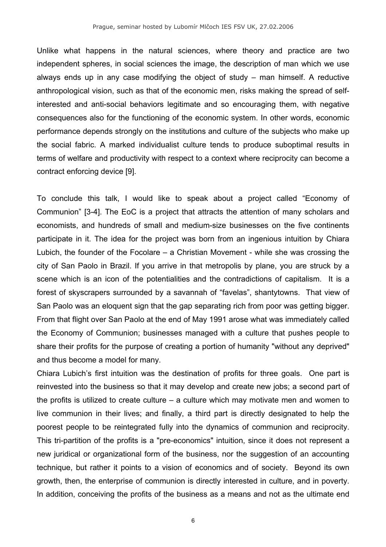Unlike what happens in the natural sciences, where theory and practice are two independent spheres, in social sciences the image, the description of man which we use always ends up in any case modifying the object of study – man himself. A reductive anthropological vision, such as that of the economic men, risks making the spread of selfinterested and anti-social behaviors legitimate and so encouraging them, with negative consequences also for the functioning of the economic system. In other words, economic performance depends strongly on the institutions and culture of the subjects who make up the social fabric. A marked individualist culture tends to produce suboptimal results in terms of welfare and productivity with respect to a context where reciprocity can become a contract enforcing device [9].

To conclude this talk, I would like to speak about a project called "Economy of Communion" [3-4]. The EoC is a project that attracts the attention of many scholars and economists, and hundreds of small and medium-size businesses on the five continents participate in it. The idea for the project was born from an ingenious intuition by Chiara Lubich, the founder of the Focolare – a Christian Movement - while she was crossing the city of San Paolo in Brazil. If you arrive in that metropolis by plane, you are struck by a scene which is an icon of the potentialities and the contradictions of capitalism. It is a forest of skyscrapers surrounded by a savannah of "favelas", shantytowns. That view of San Paolo was an eloquent sign that the gap separating rich from poor was getting bigger. From that flight over San Paolo at the end of May 1991 arose what was immediately called the Economy of Communion; businesses managed with a culture that pushes people to share their profits for the purpose of creating a portion of humanity "without any deprived" and thus become a model for many.

Chiara Lubich's first intuition was the destination of profits for three goals. One part is reinvested into the business so that it may develop and create new jobs; a second part of the profits is utilized to create culture – a culture which may motivate men and women to live communion in their lives; and finally, a third part is directly designated to help the poorest people to be reintegrated fully into the dynamics of communion and reciprocity. This tri-partition of the profits is a "pre-economics" intuition, since it does not represent a new juridical or organizational form of the business, nor the suggestion of an accounting technique, but rather it points to a vision of economics and of society. Beyond its own growth, then, the enterprise of communion is directly interested in culture, and in poverty. In addition, conceiving the profits of the business as a means and not as the ultimate end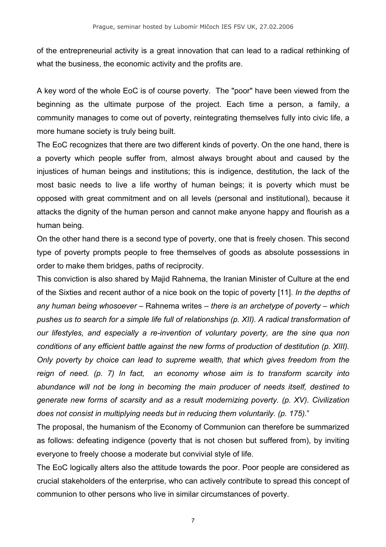of the entrepreneurial activity is a great innovation that can lead to a radical rethinking of what the business, the economic activity and the profits are.

A key word of the whole EoC is of course poverty. The "poor" have been viewed from the beginning as the ultimate purpose of the project. Each time a person, a family, a community manages to come out of poverty, reintegrating themselves fully into civic life, a more humane society is truly being built.

The EoC recognizes that there are two different kinds of poverty. On the one hand, there is a poverty which people suffer from, almost always brought about and caused by the injustices of human beings and institutions; this is indigence, destitution, the lack of the most basic needs to live a life worthy of human beings; it is poverty which must be opposed with great commitment and on all levels (personal and institutional), because it attacks the dignity of the human person and cannot make anyone happy and flourish as a human being.

On the other hand there is a second type of poverty, one that is freely chosen. This second type of poverty prompts people to free themselves of goods as absolute possessions in order to make them bridges, paths of reciprocity.

This conviction is also shared by Majid Rahnema, the Iranian Minister of Culture at the end of the Sixties and recent author of a nice book on the topic of poverty [11]. *In the depths of any human being whosoever* – Rahnema writes – *there is an archetype of poverty – which pushes us to search for a simple life full of relationships (p. XII). A radical transformation of our lifestyles, and especially a re-invention of voluntary poverty, are the sine qua non conditions of any efficient battle against the new forms of production of destitution (p. XIII). Only poverty by choice can lead to supreme wealth, that which gives freedom from the reign of need. (p. 7) In fact, an economy whose aim is to transform scarcity into abundance will not be long in becoming the main producer of needs itself, destined to generate new forms of scarsity and as a result modernizing poverty. (p. XV). Civilization does not consist in multiplying needs but in reducing them voluntarily. (p. 175).*"

The proposal, the humanism of the Economy of Communion can therefore be summarized as follows: defeating indigence (poverty that is not chosen but suffered from), by inviting everyone to freely choose a moderate but convivial style of life.

The EoC logically alters also the attitude towards the poor. Poor people are considered as crucial stakeholders of the enterprise, who can actively contribute to spread this concept of communion to other persons who live in similar circumstances of poverty.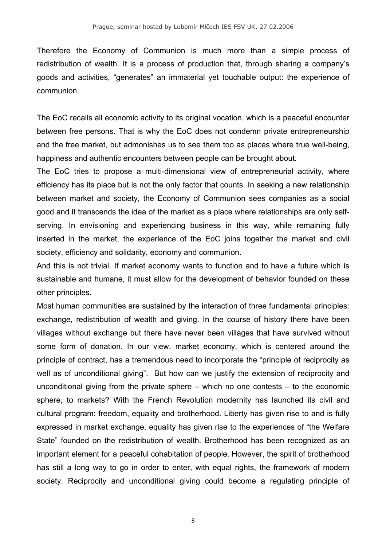Therefore the Economy of Communion is much more than a simple process of redistribution of wealth. It is a process of production that, through sharing a company's goods and activities, "generates" an immaterial yet touchable output: the experience of communion.

The EoC recalls all economic activity to its original vocation, which is a peaceful encounter between free persons. That is why the EoC does not condemn private entrepreneurship and the free market, but admonishes us to see them too as places where true well-being, happiness and authentic encounters between people can be brought about.

The EoC tries to propose a multi-dimensional view of entrepreneurial activity, where efficiency has its place but is not the only factor that counts. In seeking a new relationship between market and society, the Economy of Communion sees companies as a social good and it transcends the idea of the market as a place where relationships are only selfserving. In envisioning and experiencing business in this way, while remaining fully inserted in the market, the experience of the EoC joins together the market and civil society, efficiency and solidarity, economy and communion.

And this is not trivial. If market economy wants to function and to have a future which is sustainable and humane, it must allow for the development of behavior founded on these other principles.

Most human communities are sustained by the interaction of three fundamental principles: exchange, redistribution of wealth and giving. In the course of history there have been villages without exchange but there have never been villages that have survived without some form of donation. In our view, market economy, which is centered around the principle of contract, has a tremendous need to incorporate the "principle of reciprocity as well as of unconditional giving". But how can we justify the extension of reciprocity and unconditional giving from the private sphere – which no one contests – to the economic sphere, to markets? With the French Revolution modernity has launched its civil and cultural program: freedom, equality and brotherhood. Liberty has given rise to and is fully expressed in market exchange, equality has given rise to the experiences of "the Welfare State" founded on the redistribution of wealth. Brotherhood has been recognized as an important element for a peaceful cohabitation of people. However, the spirit of brotherhood has still a long way to go in order to enter, with equal rights, the framework of modern society. Reciprocity and unconditional giving could become a regulating principle of